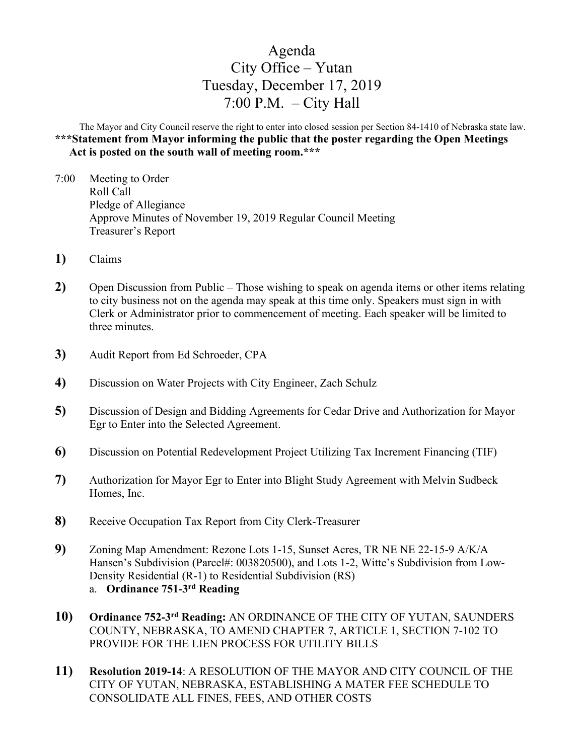# Agenda City Office – Yutan Tuesday, December 17, 2019  $7:00$  P.M.  $-$  City Hall

The Mayor and City Council reserve the right to enter into closed session per Section 84-1410 of Nebraska state law. **\*\*\*Statement from Mayor informing the public that the poster regarding the Open Meetings Act is posted on the south wall of meeting room.\*\*\***

- 7:00 Meeting to Order Roll Call Pledge of Allegiance Approve Minutes of November 19, 2019 Regular Council Meeting Treasurer's Report
- **1)** Claims
- **2)** Open Discussion from Public Those wishing to speak on agenda items or other items relating to city business not on the agenda may speak at this time only. Speakers must sign in with Clerk or Administrator prior to commencement of meeting. Each speaker will be limited to three minutes.
- **3)** Audit Report from Ed Schroeder, CPA
- **4)** Discussion on Water Projects with City Engineer, Zach Schulz
- **5)** Discussion of Design and Bidding Agreements for Cedar Drive and Authorization for Mayor Egr to Enter into the Selected Agreement.
- **6)** Discussion on Potential Redevelopment Project Utilizing Tax Increment Financing (TIF)
- **7)** Authorization for Mayor Egr to Enter into Blight Study Agreement with Melvin Sudbeck Homes, Inc.
- **8)** Receive Occupation Tax Report from City Clerk-Treasurer
- **9)** Zoning Map Amendment: Rezone Lots 1-15, Sunset Acres, TR NE NE 22-15-9 A/K/A Hansen's Subdivision (Parcel#: 003820500), and Lots 1-2, Witte's Subdivision from Low-Density Residential (R-1) to Residential Subdivision (RS) a. **Ordinance 751-3rd Reading**
- **10) Ordinance 752-3rd Reading:** AN ORDINANCE OF THE CITY OF YUTAN, SAUNDERS COUNTY, NEBRASKA, TO AMEND CHAPTER 7, ARTICLE 1, SECTION 7-102 TO PROVIDE FOR THE LIEN PROCESS FOR UTILITY BILLS
- **11) Resolution 2019-14**: A RESOLUTION OF THE MAYOR AND CITY COUNCIL OF THE CITY OF YUTAN, NEBRASKA, ESTABLISHING A MATER FEE SCHEDULE TO CONSOLIDATE ALL FINES, FEES, AND OTHER COSTS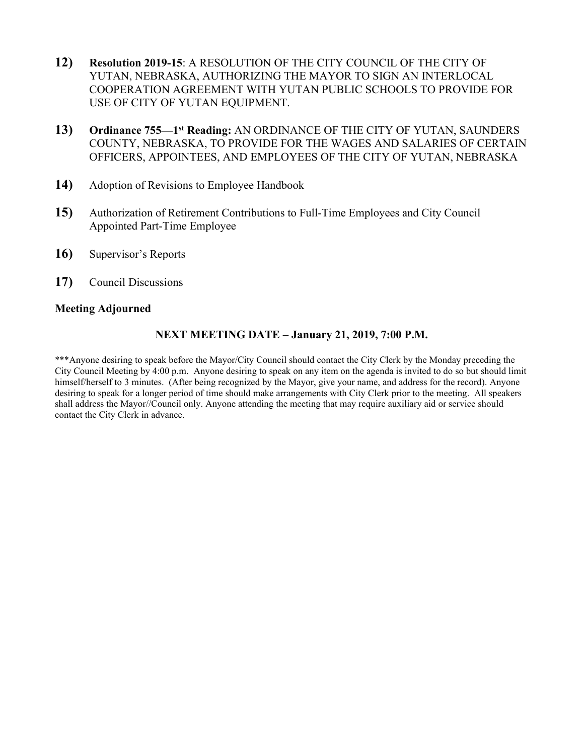- **12) Resolution 2019-15**: A RESOLUTION OF THE CITY COUNCIL OF THE CITY OF YUTAN, NEBRASKA, AUTHORIZING THE MAYOR TO SIGN AN INTERLOCAL COOPERATION AGREEMENT WITH YUTAN PUBLIC SCHOOLS TO PROVIDE FOR USE OF CITY OF YUTAN EQUIPMENT.
- **13) Ordinance 755—1st Reading:** AN ORDINANCE OF THE CITY OF YUTAN, SAUNDERS COUNTY, NEBRASKA, TO PROVIDE FOR THE WAGES AND SALARIES OF CERTAIN OFFICERS, APPOINTEES, AND EMPLOYEES OF THE CITY OF YUTAN, NEBRASKA
- **14)** Adoption of Revisions to Employee Handbook
- **15)** Authorization of Retirement Contributions to Full-Time Employees and City Council Appointed Part-Time Employee
- **16)** Supervisor's Reports
- **17)** Council Discussions

## **Meeting Adjourned**

## **NEXT MEETING DATE – January 21, 2019, 7:00 P.M.**

\*\*\*Anyone desiring to speak before the Mayor/City Council should contact the City Clerk by the Monday preceding the City Council Meeting by 4:00 p.m. Anyone desiring to speak on any item on the agenda is invited to do so but should limit himself/herself to 3 minutes. (After being recognized by the Mayor, give your name, and address for the record). Anyone desiring to speak for a longer period of time should make arrangements with City Clerk prior to the meeting. All speakers shall address the Mayor//Council only. Anyone attending the meeting that may require auxiliary aid or service should contact the City Clerk in advance.